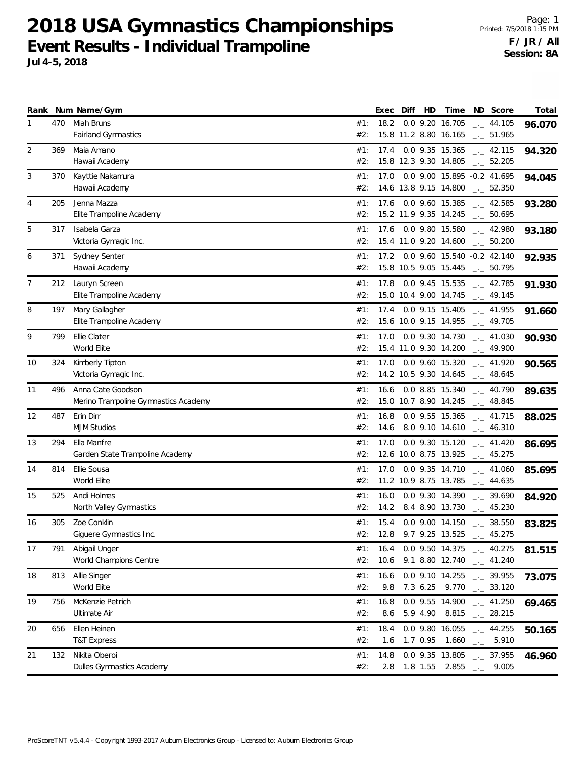**2018 USA Gymnastics Championships Event Results - Individual Trampoline Jul 4-5, 2018**

Page: 1 Printed: 7/5/2018 1:15 PM **F / JR / All Session: 8A**

|    |     | Rank Num Name/Gym                                         |            | Exec         | Diff | HD | Time                                          | ND Score                                                      | Total  |
|----|-----|-----------------------------------------------------------|------------|--------------|------|----|-----------------------------------------------|---------------------------------------------------------------|--------|
| 1  | 470 | Miah Bruns<br>Fairland Gymnastics                         | #1:<br>#2: | 18.2         |      |    | 0.0 9.20 16.705<br>15.8 11.2 8.80 16.165      | $-1$ 44.105<br>$\frac{1}{2}$ 51.965                           | 96.070 |
| 2  | 369 | Maia Amano<br>Hawaii Academy                              | #1:<br>#2: | 17.4         |      |    | 0.0 9.35 15.365<br>15.8 12.3 9.30 14.805      | $-2$ 42.115<br>$\frac{1}{2}$ 52.205                           | 94.320 |
| 3  | 370 | Kayttie Nakamura<br>Hawaii Academy                        | #1:<br>#2: |              |      |    | 14.6 13.8 9.15 14.800                         | 17.0  0.0  9.00  15.895  -0.2  41.695<br>$\frac{1}{2}$ 52.350 | 94.045 |
| 4  | 205 | Jenna Mazza<br>Elite Trampoline Academy                   | #1:<br>#2: |              |      |    | 17.6 0.0 9.60 15.385<br>15.2 11.9 9.35 14.245 | $\frac{1}{2}$ 42.585<br>$\frac{1}{2}$ 50.695                  | 93.280 |
| 5  | 317 | Isabela Garza<br>Victoria Gymagic Inc.                    | #1:<br>#2: |              |      |    | 17.6 0.0 9.80 15.580<br>15.4 11.0 9.20 14.600 | $\frac{1}{2}$ 42.980<br>$\frac{1}{2}$ 50.200                  | 93.180 |
| 6  | 371 | Sydney Senter<br>Hawaii Academy                           | #1:<br>#2: |              |      |    | 15.8 10.5 9.05 15.445                         | 17.2 0.0 9.60 15.540 -0.2 42.140<br>$\frac{1}{2}$ 50.795      | 92.935 |
| 7  | 212 | Lauryn Screen<br>Elite Trampoline Academy                 | #1:<br>#2: | 17.8         |      |    | 0.0 9.45 15.535<br>15.0 10.4 9.00 14.745      | $\frac{1}{2}$ 42.785<br>$\frac{1}{2}$ 49.145                  | 91.930 |
| 8  | 197 | Mary Gallagher<br>Elite Trampoline Academy                | #1:<br>#2: |              |      |    | 17.4 0.0 9.15 15.405<br>15.6 10.0 9.15 14.955 | $\frac{1}{2}$ 41.955<br>$\frac{1}{2}$ 49.705                  | 91.660 |
| 9  | 799 | Ellie Clater<br>World Elite                               | #1:<br>#2: |              |      |    | 17.0 0.0 9.30 14.730<br>15.4 11.0 9.30 14.200 | $\frac{1}{2}$ 41.030<br>$\frac{1}{2}$ 49.900                  | 90.930 |
| 10 | 324 | Kimberly Tipton<br>Victoria Gymagic Inc.                  | #1:<br>#2: |              |      |    | 17.0 0.0 9.60 15.320<br>14.2 10.5 9.30 14.645 | $\frac{1}{2}$ 41.920<br>$\frac{1}{2}$ 48.645                  | 90.565 |
| 11 | 496 | Anna Cate Goodson<br>Merino Trampoline Gymnastics Academy | #1:<br>#2: | 16.6         |      |    | 0.0 8.85 15.340<br>15.0 10.7 8.90 14.245      | $\sim$ 40.790<br>$\frac{1}{2}$ 48.845                         | 89.635 |
| 12 | 487 | Erin Dirr<br><b>MJM Studios</b>                           | #1:<br>#2: | 16.8         |      |    | 0.0 9.55 15.365<br>14.6 8.0 9.10 14.610       | $\frac{1}{2}$ 41.715<br>$-2$ 46.310                           | 88.025 |
| 13 | 294 | Ella Manfre<br>Garden State Trampoline Academy            | #1:<br>#2: | 17.0         |      |    | 0.0 9.30 15.120<br>12.6 10.0 8.75 13.925      | $-2$ 41.420<br>$\frac{1}{2}$ 45.275                           | 86.695 |
| 14 | 814 | Ellie Sousa<br>World Elite                                | #1:<br>#2: |              |      |    | 17.0 0.0 9.35 14.710<br>11.2 10.9 8.75 13.785 | $\frac{1}{2}$ 41.060<br>$\frac{1}{2}$ 44.635                  | 85.695 |
| 15 | 525 | Andi Holmes<br>North Valley Gymnastics                    | #1:<br>#2: | 16.0         |      |    | 0.0 9.30 14.390                               | $-2$ 39.690<br>14.2 8.4 8.90 13.730 $-$ 45.230                | 84.920 |
| 16 | 305 | Zoe Conklin<br>Giguere Gymnastics Inc.                    | #1:<br>#2: | 12.8         |      |    | 9.7 9.25 13.525                               | 15.4  0.0  9.00  14.150   ___  38.550<br>$-2$ 45.275          | 83.825 |
| 17 | 791 | Abigail Unger<br>World Champions Centre                   | #1:<br>#2: | 16.4<br>10.6 |      |    | 0.0 9.50 14.375<br>9.1 8.80 12.740            | $-2$ 40.275<br>$\sim$ 41.240                                  | 81.515 |
| 18 | 813 | Allie Singer<br>World Elite                               | #1:<br>#2: | 16.6<br>9.8  |      |    | 0.0 9.10 14.255                               | $-2$ 39.955<br>7.3 6.25 9.770 $\frac{1}{2}$ 33.120            | 73.075 |
| 19 | 756 | McKenzie Petrich<br>Ultimate Air                          | #1:<br>#2: | 16.8<br>8.6  |      |    | 0.0 9.55 14.900<br>5.9 4.90 8.815             | $\frac{1}{2}$ 41.250<br>$\frac{1}{2}$ 28.215                  | 69.465 |
| 20 | 656 | Ellen Heinen<br><b>T&amp;T Express</b>                    | #1:<br>#2: | 18.4<br>1.6  |      |    | 0.0 9.80 16.055<br>1.7 0.95 1.660             | $\frac{1}{2}$ 44.255<br>5.910<br>$\Box\, \Box$                | 50.165 |
| 21 | 132 | Nikita Oberoi                                             | #1:        | 14.8         |      |    | 0.0 9.35 13.805                               | $\frac{1}{2}$ 37.955                                          | 46.960 |

#2: 2.8 1.8 1.55 2.855 <sub>\_.</sub>\_ 9.005

#### ProScoreTNT v5.4.4 - Copyright 1993-2017 Auburn Electronics Group - Licensed to: Auburn Electronics Group

Dulles Gymnastics Academy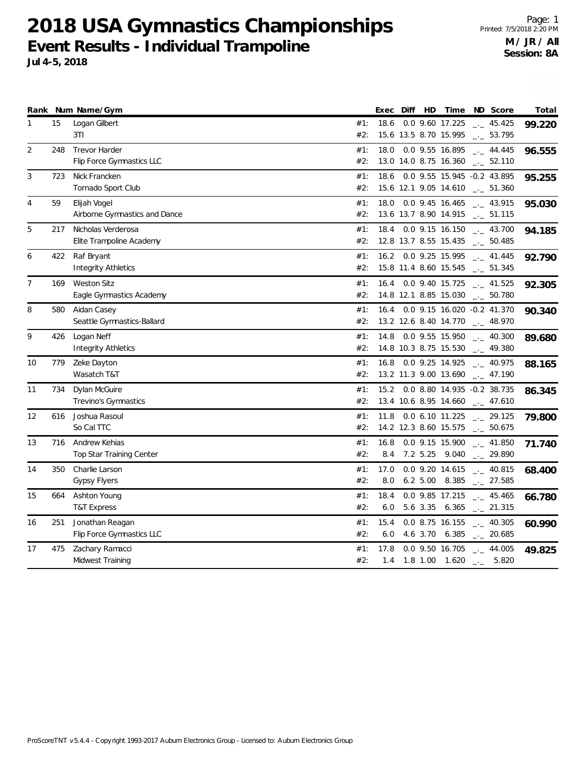**2018 USA Gymnastics Championships Event Results - Individual Trampoline**

Page: 1 Printed: 7/5/2018 2:20 PM **M / JR / All Session: 8A**

| zu to USA Uynmastics Championships    |
|---------------------------------------|
| Event Results - Individual Trampoline |
| Jul 4-5, 2018                         |

|                   |     | Rank Num Name/Gym               |     | Exec | Diff | HD          | Time                                   | ND Score                          | Total  |
|-------------------|-----|---------------------------------|-----|------|------|-------------|----------------------------------------|-----------------------------------|--------|
| 1                 | 15  | Logan Gilbert                   | #1: | 18.6 |      |             | 0.0 9.60 17.225                        | $-2$ 45.425                       | 99.220 |
|                   |     | 3T1                             | #2: |      |      |             | 15.6 13.5 8.70 15.995                  | $\frac{1}{2}$ 53.795              |        |
| $\overline{2}$    | 248 | <b>Trevor Harder</b>            | #1: | 18.0 |      |             | 0.0 9.55 16.895                        | $\frac{1}{2}$ 44.445              | 96.555 |
|                   |     | Flip Force Gymnastics LLC       | #2: |      |      |             | 13.0 14.0 8.75 16.360                  | $\frac{1}{2}$ 52.110              |        |
| 3                 | 723 | Nick Francken                   | #1: | 18.6 |      |             | 0.0 9.55 15.945 -0.2 43.895            |                                   | 95.255 |
|                   |     | Tornado Sport Club              | #2: |      |      |             | 15.6 12.1 9.05 14.610 $\_\_$ 51.360    |                                   |        |
| 4                 | 59  | Elijah Vogel                    | #1: | 18.0 |      |             | $0.0$ 9.45 16.465                      | $\sim$ 43.915                     | 95.030 |
|                   |     | Airborne Gymnastics and Dance   | #2: |      |      |             | 13.6 13.7 8.90 14.915 __ 51.115        |                                   |        |
| 5                 | 217 | Nicholas Verderosa              | #1: | 18.4 |      |             | 0.0 9.15 16.150                        | 43.700                            | 94.185 |
|                   |     | Elite Trampoline Academy        | #2: |      |      |             | 12.8 13.7 8.55 15.435                  | $-2$ 50.485                       |        |
| 6                 | 422 | Raf Bryant                      | #1: | 16.2 |      |             | 0.0 9.25 15.995                        | $-$ 41.445                        | 92.790 |
|                   |     | Integrity Athletics             | #2: |      |      |             | 15.8 11.4 8.60 15.545                  | $\sim$ 51.345                     |        |
| $\overline{7}$    | 169 | <b>Weston Sitz</b>              | #1: | 16.4 |      |             | 0.0 9.40 15.725                        | $\frac{1}{2}$ 41.525              | 92.305 |
|                   |     | Eagle Gymnastics Academy        | #2: |      |      |             | 14.8 12.1 8.85 15.030 __ 50.780        |                                   |        |
| 8                 | 580 | Aidan Casey                     | #1: | 16.4 |      |             | 0.0 9.15 16.020 -0.2 41.370            |                                   | 90.340 |
|                   |     | Seattle Gymnastics-Ballard      | #2: |      |      |             | 13.2 12.6 8.40 14.770                  | $\sim$ 48.970                     |        |
| 9                 | 426 | Logan Neff                      | #1: | 14.8 |      |             | 0.0 9.55 15.950                        | $\frac{1}{2}$ 40.300              | 89.680 |
|                   |     | <b>Integrity Athletics</b>      | #2: |      |      |             | 14.8 10.3 8.75 15.530                  | $-2$ 49.380                       |        |
| 10                | 779 | Zeke Dayton                     | #1: | 16.8 |      |             | 0.0 9.25 14.925                        | $-1$ 40.975                       | 88.165 |
|                   |     | Wasatch T&T                     | #2: |      |      |             | 13.2 11.3 9.00 13.690                  | $-2$ 47.190                       |        |
| 11                | 734 | Dylan McGuire                   | #1: | 15.2 |      |             | 0.0 8.80 14.935 -0.2 38.735            |                                   | 86.345 |
|                   |     | Trevino's Gymnastics            | #2: |      |      |             | 13.4 10.6 8.95 14.660                  | $\frac{1}{2}$ 47.610              |        |
| $12 \overline{ }$ | 616 | Joshua Rasoul                   | #1: | 11.8 |      |             | $0.0$ 6.10 11.225 $\phantom{0}$ 29.125 |                                   | 79.800 |
|                   |     | So Cal TTC                      | #2: |      |      |             | 14.2 12.3 8.60 15.575                  | $\sim$ 50.675                     |        |
| 13                | 716 | Andrew Kehias                   | #1: | 16.8 |      |             | 0.0 9.15 15.900                        | $-2$ 41.850                       | 71.740 |
|                   |     | <b>Top Star Training Center</b> | #2: | 8.4  |      | 7.2 5.25    | 9.040                                  | $\sim$ 29.890                     |        |
| 14                | 350 | Charlie Larson                  | #1: | 17.0 |      |             | 0.0 9.20 14.615                        | $\frac{1}{2}$ 40.815              | 68.400 |
|                   |     | <b>Gypsy Flyers</b>             | #2: | 8.0  |      | $6.2\ 5.00$ | 8.385                                  | $-27.585$                         |        |
| 15                | 664 | Ashton Young                    | #1: | 18.4 |      |             | 0.0 9.85 17.215                        | $\overline{\phantom{0}}$ . 45.465 | 66.780 |
|                   |     | <b>T&amp;T Express</b>          | #2: | 6.0  |      | 5.6 3.35    | $6.365$ $_{\leftarrow}$ 21.315         |                                   |        |
| 16                | 251 | Jonathan Reagan                 | #1: | 15.4 |      |             | $0.0$ 8.75 16.155                      | $- - 40.305$                      | 60.990 |
|                   |     | Flip Force Gymnastics LLC       | #2: | 6.0  |      | 4.6 3.70    | 6.385                                  | $\sim$ 20.685                     |        |
| 17                | 475 | Zachary Ramacci                 | #1: | 17.8 |      |             | 0.0 9.50 16.705                        | $-2$ 44.005                       | 49.825 |
|                   |     | Midwest Training                | #2: | 1.4  |      |             | 1.8 1.00 1.620 $\frac{1}{2}$ 5.820     |                                   |        |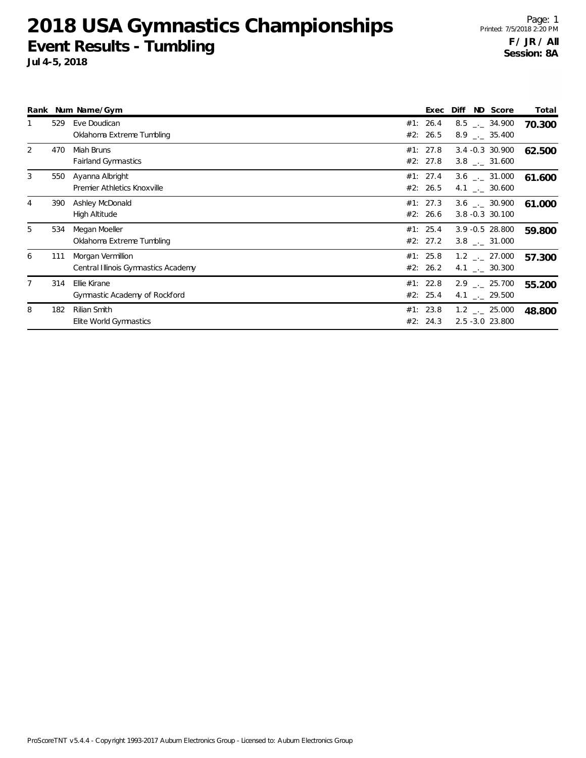# **2018 USA Gymnastics Championships Event Results - Tumbling**

|   |     | Rank Num Name/Gym                                        |     | Exec                 | ND Score<br>Diff                                              | Total  |
|---|-----|----------------------------------------------------------|-----|----------------------|---------------------------------------------------------------|--------|
|   | 529 | Eve Doudican<br>Oklahoma Extreme Tumbling                |     | #1: 26.4<br>#2: 26.5 | $8.5$ $_{\leftarrow}$ 34.900<br>$8.9$ $-.$ 35.400             | 70.300 |
| 2 | 470 | Miah Bruns<br><b>Fairland Gymnastics</b>                 |     | #1: 27.8<br>#2: 27.8 | $3.4 -0.3$ 30.900<br>$3.8$ _. 31.600                          | 62.500 |
| 3 | 550 | Ayanna Albright<br>Premier Athletics Knoxville           |     | #1: 27.4<br>#2: 26.5 | $3.6$ _._ 31.000<br>4.1 $\frac{1}{2}$ 30.600                  | 61.600 |
| 4 | 390 | Ashley McDonald<br>High Altitude                         |     | #1: 27.3<br>#2: 26.6 | $3.6$ $_{\sim}$ 30.900<br>3.8 -0.3 30.100                     | 61.000 |
| 5 | 534 | Megan Moeller<br>Oklahoma Extreme Tumbling               |     | #1: 25.4<br>#2: 27.2 | $3.9 - 0.5$ 28.800<br>$3.8$ _._ 31.000                        | 59.800 |
| 6 | 111 | Morgan Vermillion<br>Central Illinois Gymnastics Academy |     | #1: 25.8<br>#2: 26.2 | $1.2$ $_{\leftarrow}$ 27.000<br>4.1 $\qquad \qquad -2$ 30.300 | 57.300 |
| 7 | 314 | Ellie Kirane<br>Gymnastic Academy of Rockford            |     | #1: 22.8<br>#2: 25.4 | $2.9$ $_{\sim}$ 25.700<br>4.1 $\frac{1}{2}$ 29.500            | 55.200 |
| 8 | 182 | Rilian Smith<br>Elite World Gymnastics                   | #2: | #1: 23.8<br>24.3     | $1.2$ $_{\leftarrow}$ 25.000<br>2.5 -3.0 23.800               | 48.800 |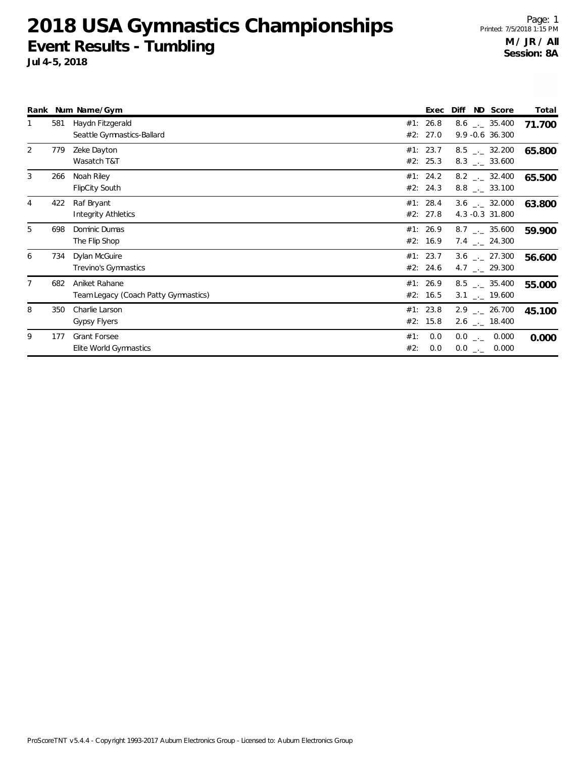**2018 USA Gymnastics Championships Event Results - Tumbling**

|   |     | Rank Num Name/Gym                                     |            | Exec                 | Diff                                                     | ND Score | Total  |
|---|-----|-------------------------------------------------------|------------|----------------------|----------------------------------------------------------|----------|--------|
|   | 581 | Haydn Fitzgerald<br>Seattle Gymnastics-Ballard        |            | #1: 26.8<br>#2: 27.0 | $8.6$ _._ 35.400<br>9.9 - 0.6 36.300                     |          | 71.700 |
| 2 | 779 | Zeke Dayton<br>Wasatch T&T                            |            | #1: 23.7<br>#2: 25.3 | $8.5$ $-.$ 32.200<br>$8.3$ _._ 33.600                    |          | 65.800 |
| 3 | 266 | Noah Riley<br><b>FlipCity South</b>                   |            | #1: 24.2<br>#2: 24.3 | $8.2$ _._ 32.400<br>$8.8$ _. 33.100                      |          | 65.500 |
| 4 | 422 | Raf Bryant<br>Integrity Athletics                     |            | #1: 28.4<br>#2: 27.8 | $3.6$ $_{-1}$ 32.000<br>4.3 -0.3 31.800                  |          | 63.800 |
| 5 | 698 | Dominic Dumas<br>The Flip Shop                        |            | #1: 26.9<br>#2: 16.9 | $8.7$ $_{\leftarrow}$ 35.600<br>7.4 $\frac{1}{2}$ 24.300 |          | 59.900 |
| 6 | 734 | Dylan McGuire<br>Trevino's Gymnastics                 |            | #1: 23.7<br>#2: 24.6 | $3.6$ $_{\leftarrow}$ 27.300<br>4.7 $\qquad$ 29.300      |          | 56.600 |
| 7 | 682 | Aniket Rahane<br>Team Legacy (Coach Patty Gymnastics) |            | #1: 26.9<br>#2: 16.5 | $8.5$ $\_\_$ 35.400<br>$3.1$ _. 19.600                   |          | 55.000 |
| 8 | 350 | Charlie Larson<br><b>Gypsy Flyers</b>                 |            | #1: 23.8<br>#2: 15.8 | $2.9$ $_{\sim}$ 26.700<br>2.6 $\frac{1}{2}$ 18.400       |          | 45.100 |
| 9 | 177 | <b>Grant Forsee</b><br>Elite World Gymnastics         | #1:<br>#2: | 0.0<br>0.0           | $0.0$ _ 0.000<br>$0.0$ _ _                               | 0.000    | 0.000  |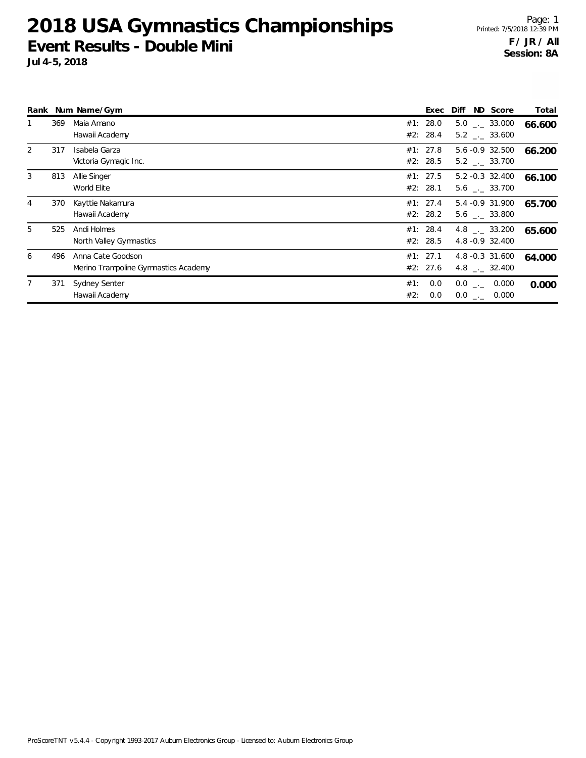## **2018 USA Gymnastics Championships Event Results - Double Mini**

|                |     | Rank Num Name/Gym                                         |                      | Exec       | ND Score<br>Diff                          | Total  |
|----------------|-----|-----------------------------------------------------------|----------------------|------------|-------------------------------------------|--------|
|                | 369 | Maia Amano<br>Hawaii Academy                              | #1: 28.0<br>#2: 28.4 |            | $5.0$ $_{-1}$ 33.000<br>$5.2$ __ 33.600   | 66.600 |
| 2              | 317 | Isabela Garza<br>Victoria Gymagic Inc.                    | #1: 27.8<br>#2: 28.5 |            | 5.6 -0.9 32.500<br>5.2 . 33.700           | 66.200 |
| 3              | 813 | Allie Singer<br>World Elite                               | #1: 27.5<br>#2: 28.1 |            | $5.2 -0.3$ 32.400<br>$5.6$ $_{-1}$ 33.700 | 66.100 |
| $\overline{4}$ | 370 | Kayttie Nakamura<br>Hawaii Academy                        | #1: 27.4<br>#2: 28.2 |            | 5.4 -0.9 31.900<br>$5.6$ $_{-1}$ 33.800   | 65.700 |
| 5              | 525 | Andi Holmes<br>North Valley Gymnastics                    | #1: 28.4<br>#2: 28.5 |            | 4.8 $\qquad$ 33.200<br>4.8 -0.9 32.400    | 65.600 |
| 6              | 496 | Anna Cate Goodson<br>Merino Trampoline Gymnastics Academy | #1: 27.1<br>#2: 27.6 |            | 4.8 -0.3 31.600<br>4.8 $\_\_$ 32.400      | 64.000 |
| $\overline{7}$ | 371 | Sydney Senter<br>Hawaii Academy                           | #1:<br>#2:           | 0.0<br>0.0 | $0.0$ _._ 0.000<br>$0.0$ _._ 0.000        | 0.000  |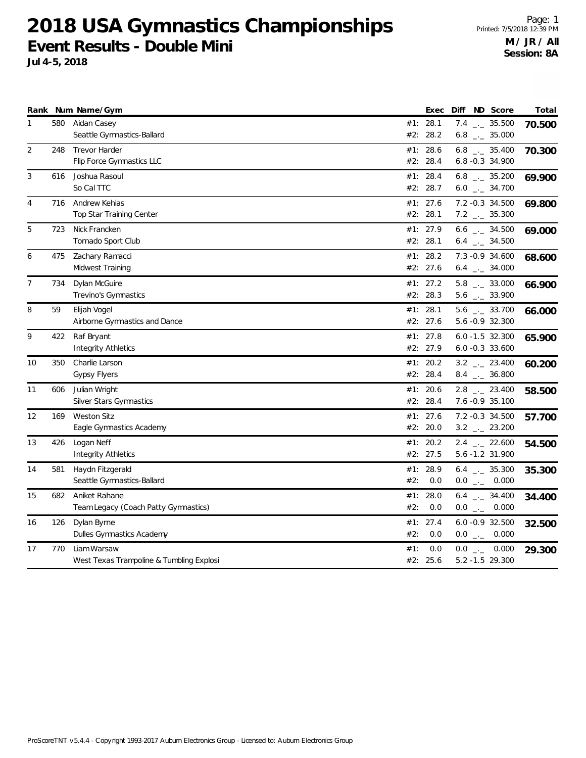**2018 USA Gymnastics Championships Event Results - Double Mini**

|                |     | Rank Num Name/Gym                        |     | Exec     |  | Diff ND Score                | Total  |
|----------------|-----|------------------------------------------|-----|----------|--|------------------------------|--------|
| 1              | 580 | Aidan Casey                              |     | #1: 28.1 |  | $7.4$ $-2.5.500$             | 70.500 |
|                |     | Seattle Gymnastics-Ballard               | #2: | 28.2     |  | 6.8 $_{\leftarrow}$ 35.000   |        |
| 2              | 248 | <b>Trevor Harder</b>                     | #1: | 28.6     |  | $6.8$ $_{\leftarrow}$ 35.400 | 70.300 |
|                |     | Flip Force Gymnastics LLC                |     | #2: 28.4 |  | $6.8 - 0.3$ 34.900           |        |
| 3              | 616 | Joshua Rasoul                            |     | #1: 28.4 |  | 6.8 $_{\leftarrow}$ 35.200   | 69.900 |
|                |     | So Cal TTC                               |     | #2: 28.7 |  | $6.0$ _ 34.700               |        |
| 4              | 716 | Andrew Kehias                            |     | #1: 27.6 |  | 7.2 -0.3 34.500              | 69.800 |
|                |     | Top Star Training Center                 |     | #2: 28.1 |  | $7.2$ $_{-}$ 35.300          |        |
| 5              | 723 | Nick Francken                            |     | #1: 27.9 |  | 6.6 $_{\leftarrow}$ 34.500   | 69.000 |
|                |     | Tornado Sport Club                       |     | #2: 28.1 |  | $6.4$ $-2$ 34.500            |        |
| 6              | 475 | Zachary Ramacci                          |     | #1: 28.2 |  | 7.3 -0.9 34.600              | 68.600 |
|                |     | Midwest Training                         |     | #2: 27.6 |  | $6.4$ $-2$ 34.000            |        |
| $\overline{7}$ | 734 | Dylan McGuire                            |     | #1: 27.2 |  | $5.8$ $_{-}$ 33.000          | 66.900 |
|                |     | Trevino's Gymnastics                     |     | #2: 28.3 |  | $5.6$ $_{-1}$ 33.900         |        |
| 8              | 59  | Elijah Vogel                             |     | #1: 28.1 |  | $5.6$ $_{-1}$ 33.700         | 66.000 |
|                |     | Airborne Gymnastics and Dance            |     | #2: 27.6 |  | 5.6 -0.9 32.300              |        |
| 9              | 422 | Raf Bryant                               |     | #1: 27.8 |  | $6.0 - 1.5 32.300$           | 65.900 |
|                |     | <b>Integrity Athletics</b>               |     | #2: 27.9 |  | $6.0 -0.3$ 33.600            |        |
| 10             | 350 | Charlie Larson                           | #1: | 20.2     |  | $3.2$ $-23.400$              | 60.200 |
|                |     | <b>Gypsy Flyers</b>                      |     | #2: 28.4 |  | $8.4$ $_{-}$ 36.800          |        |
| 11             | 606 | Julian Wright                            |     | #1: 20.6 |  | $2.8$ $_{-}$ 23.400          | 58.500 |
|                |     | <b>Silver Stars Gymnastics</b>           |     | #2: 28.4 |  | 7.6 -0.9 35.100              |        |
| 12             | 169 | <b>Weston Sitz</b>                       |     | #1: 27.6 |  | 7.2 -0.3 34.500              | 57.700 |
|                |     | Eagle Gymnastics Academy                 |     | #2: 20.0 |  | $3.2$ _ 23.200               |        |
| 13             | 426 | Logan Neff                               |     | #1: 20.2 |  | $2.4$ $-22.600$              | 54.500 |
|                |     | <b>Integrity Athletics</b>               |     | #2: 27.5 |  | 5.6 -1.2 31.900              |        |
| 14             | 581 | Haydn Fitzgerald                         |     | #1: 28.9 |  | 6.4 $_{\leftarrow}$ 35.300   | 35.300 |
|                |     | Seattle Gymnastics-Ballard               | #2: | 0.0      |  | $0.0$ _ 0.000                |        |
| 15             | 682 | Aniket Rahane                            | #1: | 28.0     |  | $6.4$ $_{\leftarrow}$ 34.400 | 34.400 |
|                |     | Team Legacy (Coach Patty Gymnastics)     | #2: | 0.0      |  | $0.0$ _ 0.000                |        |
| 16             | 126 | Dylan Byrne                              | #1: | 27.4     |  | $6.0 -0.9 32.500$            | 32.500 |
|                |     | Dulles Gymnastics Academy                | #2: | 0.0      |  | $0.0$ _ 0.000                |        |
| 17             | 770 | Liam Warsaw                              | #1: | 0.0      |  | $0.0$ _ 0.000                | 29.300 |
|                |     | West Texas Trampoline & Tumbling Explosi |     | #2: 25.6 |  | 5.2 -1.5 29.300              |        |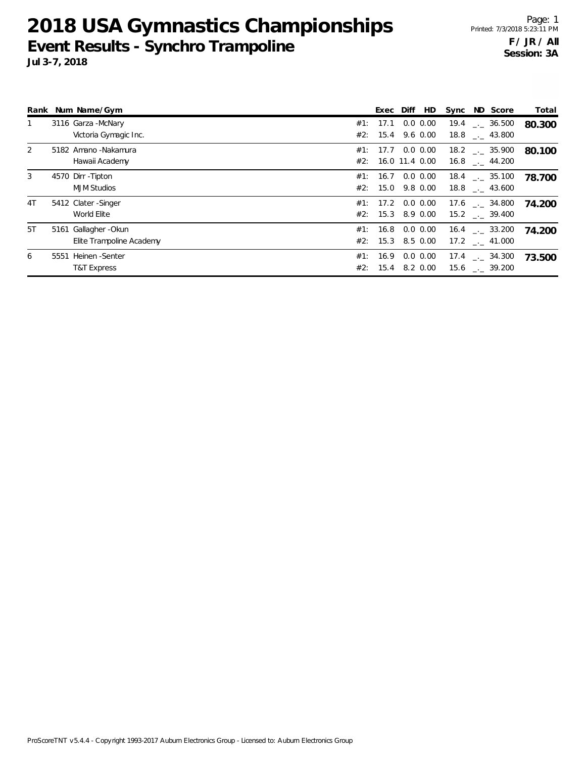### **2018 USA Gymnastics Championships Event Results - Synchro Trampoline Jul 3-7, 2018**

|               | Rank Num Name/Gym                                 |          | Exec Diff<br>HD                           | Sync ND Score                                            | Total  |
|---------------|---------------------------------------------------|----------|-------------------------------------------|----------------------------------------------------------|--------|
|               | 3116 Garza - McNary<br>Victoria Gymagic Inc.      | #1: 17.1 | $0.0\, 0.00$<br>$#2$ : 15.4 9.6 0.00      | $18.8$ $_{-1}$ 43.800                                    | 80.300 |
| $\mathcal{P}$ | 5182 Amano - Nakamura<br>Hawaii Academy           |          | #1: 17.7 0.0 0.00<br>#2: 16.0 11.4 0.00   | $18.2$ $_{\sim}$ 35.900<br>$16.8$ $_{-}$ 44.200          | 80.100 |
| $\mathcal{E}$ | 4570 Dirr - Tipton<br><b>MJM Studios</b>          | #1:      | $0.0\, 0.00$<br>16.7<br>#2: 15.0 9.8 0.00 | $18.4$ $\phantom{0}-$ 35.100<br>$18.8$ $_{\dots}$ 43.600 | 78.700 |
| 4T            | 5412 Clater - Singer<br>World Elite               |          | #1: 17.2 0.0 0.00<br>#2: 15.3 8.9 0.00    | $17.6$ $_{\sim}$ 34.800<br>15.2 . 39.400                 | 74.200 |
| 5T            | 5161 Gallagher - Okun<br>Elite Trampoline Academy | #2:      | #1: 16.8 0.0 0.00<br>15.3 8.5 0.00        | $16.4$ $\phantom{0}-$ 33.200<br>$17.2$ $_{\sim}$ 41.000  | 74.200 |
| 6             | 5551 Heinen - Senter<br>T&T Express               | #1: 16.9 | $0.0 \, 0.00$<br>$#2$ : 15.4 8.2 0.00     | $17.4$ $\phantom{0}-$ 34.300<br>15.6 . 39.200            | 73.500 |